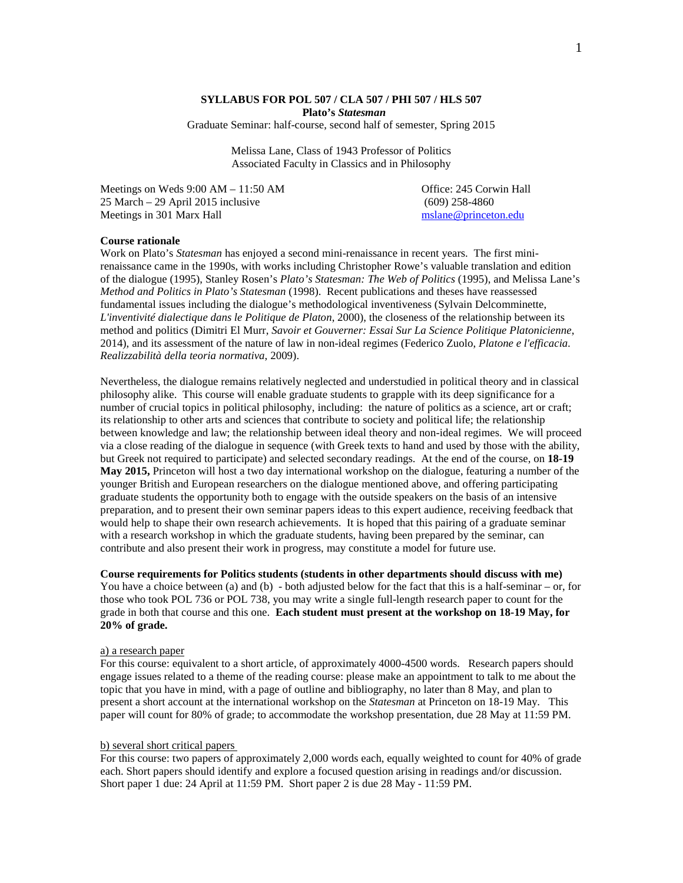## **SYLLABUS FOR POL 507 / CLA 507 / PHI 507 / HLS 507 Plato's** *Statesman*

Graduate Seminar: half-course, second half of semester, Spring 2015

Melissa Lane, Class of 1943 Professor of Politics Associated Faculty in Classics and in Philosophy

Meetings on Weds 9:00 AM – 11:50 AM and the Corporation Corporation Corporation Corporation Corporation Corporation Corporation Corporation Corporation Corporation Corporation Corporation Corporation Corporation Corporatio 25 March – 29 April 2015 inclusive (609) 258-4860<br>
Meetings in 301 Marx Hall (2015) and the military (609) 258-4860 Meetings in 301 Marx Hall

### **Course rationale**

Work on Plato's *Statesman* has enjoyed a second mini-renaissance in recent years. The first minirenaissance came in the 1990s, with works including Christopher Rowe's valuable translation and edition of the dialogue (1995), Stanley Rosen's *Plato's Statesman: The Web of Politics* (1995), and Melissa Lane's *Method and Politics in Plato's Statesman* (1998). Recent publications and theses have reassessed fundamental issues including the dialogue's methodological inventiveness (Sylvain Delcomminette, *L'inventivité dialectique dans le Politique de Platon*, 2000), the closeness of the relationship between its method and politics (Dimitri El Murr, *Savoir et Gouverner: Essai Sur La Science Politique Platonicienne*, 2014), and its assessment of the nature of law in non-ideal regimes (Federico Zuolo, *Platone e l'efficacia. Realizzabilità della teoria normativa*, 2009).

Nevertheless, the dialogue remains relatively neglected and understudied in political theory and in classical philosophy alike. This course will enable graduate students to grapple with its deep significance for a number of crucial topics in political philosophy, including: the nature of politics as a science, art or craft; its relationship to other arts and sciences that contribute to society and political life; the relationship between knowledge and law; the relationship between ideal theory and non-ideal regimes. We will proceed via a close reading of the dialogue in sequence (with Greek texts to hand and used by those with the ability, but Greek not required to participate) and selected secondary readings. At the end of the course, on **18-19 May 2015,** Princeton will host a two day international workshop on the dialogue, featuring a number of the younger British and European researchers on the dialogue mentioned above, and offering participating graduate students the opportunity both to engage with the outside speakers on the basis of an intensive preparation, and to present their own seminar papers ideas to this expert audience, receiving feedback that would help to shape their own research achievements. It is hoped that this pairing of a graduate seminar with a research workshop in which the graduate students, having been prepared by the seminar, can contribute and also present their work in progress, may constitute a model for future use.

**Course requirements for Politics students (students in other departments should discuss with me)**  You have a choice between (a) and (b) - both adjusted below for the fact that this is a half-seminar – or, for those who took POL 736 or POL 738, you may write a single full-length research paper to count for the grade in both that course and this one. **Each student must present at the workshop on 18-19 May, for 20% of grade.**

# a) a research paper

For this course: equivalent to a short article, of approximately 4000-4500 words. Research papers should engage issues related to a theme of the reading course: please make an appointment to talk to me about the topic that you have in mind, with a page of outline and bibliography, no later than 8 May, and plan to present a short account at the international workshop on the *Statesman* at Princeton on 18-19 May. This paper will count for 80% of grade; to accommodate the workshop presentation, due 28 May at 11:59 PM.

### b) several short critical papers

For this course: two papers of approximately 2,000 words each, equally weighted to count for 40% of grade each. Short papers should identify and explore a focused question arising in readings and/or discussion. Short paper 1 due: 24 April at 11:59 PM. Short paper 2 is due 28 May - 11:59 PM.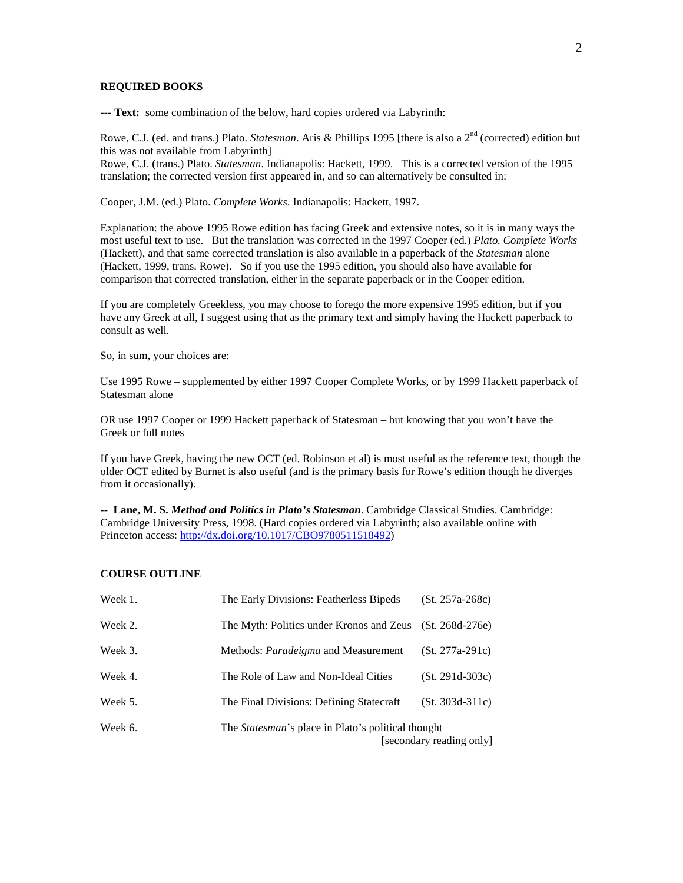## **REQUIRED BOOKS**

**--- Text:** some combination of the below, hard copies ordered via Labyrinth:

Rowe, C.J. (ed. and trans.) Plato. *Statesman*. Aris & Phillips 1995 [there is also a 2<sup>nd</sup> (corrected) edition but this was not available from Labyrinth]

Rowe, C.J. (trans.) Plato. *Statesman*. Indianapolis: Hackett, 1999. This is a corrected version of the 1995 translation; the corrected version first appeared in, and so can alternatively be consulted in:

Cooper, J.M. (ed.) Plato. *Complete Works*. Indianapolis: Hackett, 1997.

Explanation: the above 1995 Rowe edition has facing Greek and extensive notes, so it is in many ways the most useful text to use. But the translation was corrected in the 1997 Cooper (ed.) *Plato. Complete Works* (Hackett), and that same corrected translation is also available in a paperback of the *Statesman* alone (Hackett, 1999, trans. Rowe). So if you use the 1995 edition, you should also have available for comparison that corrected translation, either in the separate paperback or in the Cooper edition.

If you are completely Greekless, you may choose to forego the more expensive 1995 edition, but if you have any Greek at all, I suggest using that as the primary text and simply having the Hackett paperback to consult as well.

So, in sum, your choices are:

Use 1995 Rowe – supplemented by either 1997 Cooper Complete Works, or by 1999 Hackett paperback of Statesman alone

OR use 1997 Cooper or 1999 Hackett paperback of Statesman – but knowing that you won't have the Greek or full notes

If you have Greek, having the new OCT (ed. Robinson et al) is most useful as the reference text, though the older OCT edited by Burnet is also useful (and is the primary basis for Rowe's edition though he diverges from it occasionally).

**-- Lane, M. S.** *Method and Politics in Plato's Statesman*. Cambridge Classical Studies. Cambridge: Cambridge University Press, 1998. (Hard copies ordered via Labyrinth; also available online with Princeton access[: http://dx.doi.org/10.1017/CBO9780511518492\)](http://dx.doi.org/10.1017/CBO9780511518492)

#### **COURSE OUTLINE**

| Week 1. | The Early Divisions: Featherless Bipeds                                                | $(St. 257a-268c)$ |
|---------|----------------------------------------------------------------------------------------|-------------------|
| Week 2. | The Myth: Politics under Kronos and Zeus (St. 268d-276e)                               |                   |
| Week 3. | Methods: <i>Paradeigma</i> and Measurement                                             | $(St. 277a-291c)$ |
| Week 4. | The Role of Law and Non-Ideal Cities                                                   | $(St. 291d-303c)$ |
| Week 5. | The Final Divisions: Defining Statecraft                                               | $(St. 303d-311c)$ |
| Week 6. | The <i>Statesman</i> 's place in Plato's political thought<br>[secondary reading only] |                   |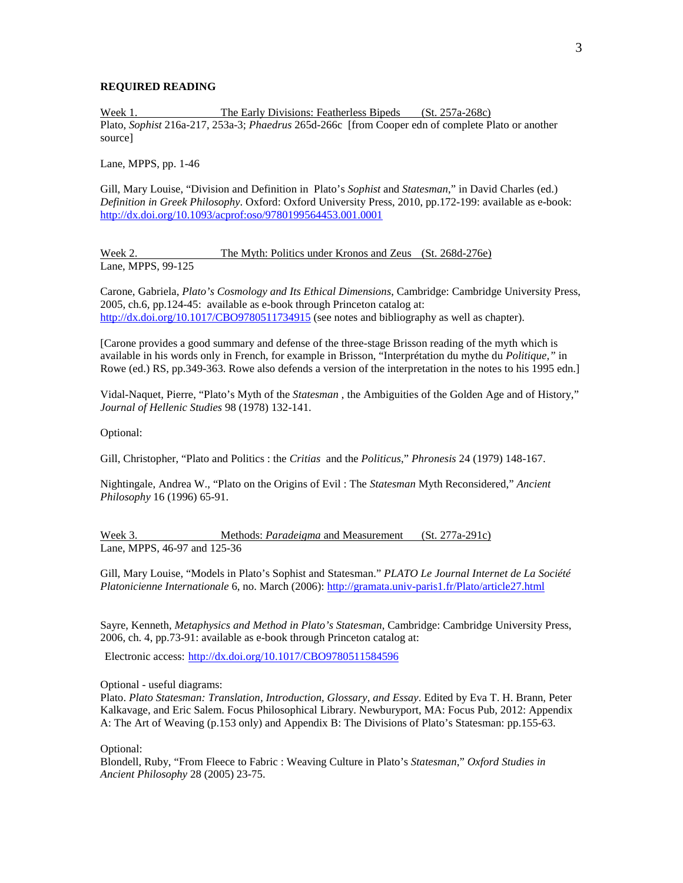# **REQUIRED READING**

Week 1. The Early Divisions: Featherless Bipeds (St. 257a-268c) Plato, *Sophist* 216a-217, 253a-3; *Phaedrus* 265d-266c [from Cooper edn of complete Plato or another source]

Lane, MPPS, pp. 1-46

Gill, Mary Louise, "Division and Definition in Plato's *Sophist* and *Statesman*," in David Charles (ed.) *Definition in Greek Philosophy*. Oxford: Oxford University Press, 2010, pp.172-199: available as e-book: <http://dx.doi.org/10.1093/acprof:oso/9780199564453.001.0001>

### Week 2. The Myth: Politics under Kronos and Zeus (St. 268d-276e) Lane, MPPS, 99-125

Carone, Gabriela, *Plato's Cosmology and Its Ethical Dimensions*, Cambridge: Cambridge University Press, 2005, ch.6, pp.124-45: available as e-book through Princeton catalog at: <http://dx.doi.org/10.1017/CBO9780511734915> (see notes and bibliography as well as chapter).

[Carone provides a good summary and defense of the three-stage Brisson reading of the myth which is available in his words only in French, for example in Brisson, "Interprétation du mythe du *Politique,"* in Rowe (ed.) RS, pp.349-363. Rowe also defends a version of the interpretation in the notes to his 1995 edn.]

Vidal-Naquet, Pierre, "Plato's Myth of the *Statesman* , the Ambiguities of the Golden Age and of History," *Journal of Hellenic Studies* 98 (1978) 132-141.

Optional:

Gill, Christopher, "Plato and Politics : the *Critias* and the *Politicus*," *Phronesis* 24 (1979) 148-167.

Nightingale, Andrea W., "Plato on the Origins of Evil : The *Statesman* Myth Reconsidered," *Ancient Philosophy* 16 (1996) 65-91.

Week 3. Methods: *Paradeigma* and Measurement (St. 277a-291c) Lane, MPPS, 46-97 and 125-36

Gill, Mary Louise, "Models in Plato's Sophist and Statesman." *PLATO Le Journal Internet de La Société Platonicienne Internationale* 6, no. March (2006):<http://gramata.univ-paris1.fr/Plato/article27.html>

Sayre, Kenneth, *Metaphysics and Method in Plato's Statesman*, Cambridge: Cambridge University Press, 2006, ch. 4, pp.73-91: available as e-book through Princeton catalog at:

Electronic access: [http://dx.doi.org/10.1017/CBO9780511584596](http://libwebprod.princeton.edu/resolve/lookup?url=http://dx.doi.org/10.1017/CBO9780511584596)

Optional - useful diagrams:

Plato. *Plato Statesman: Translation, Introduction, Glossary, and Essay*. Edited by Eva T. H. Brann, Peter Kalkavage, and Eric Salem. Focus Philosophical Library. Newburyport, MA: Focus Pub, 2012: Appendix A: The Art of Weaving (p.153 only) and Appendix B: The Divisions of Plato's Statesman: pp.155-63.

Optional:

Blondell, Ruby, "From Fleece to Fabric : Weaving Culture in Plato's *Statesman*," *Oxford Studies in Ancient Philosophy* 28 (2005) 23-75.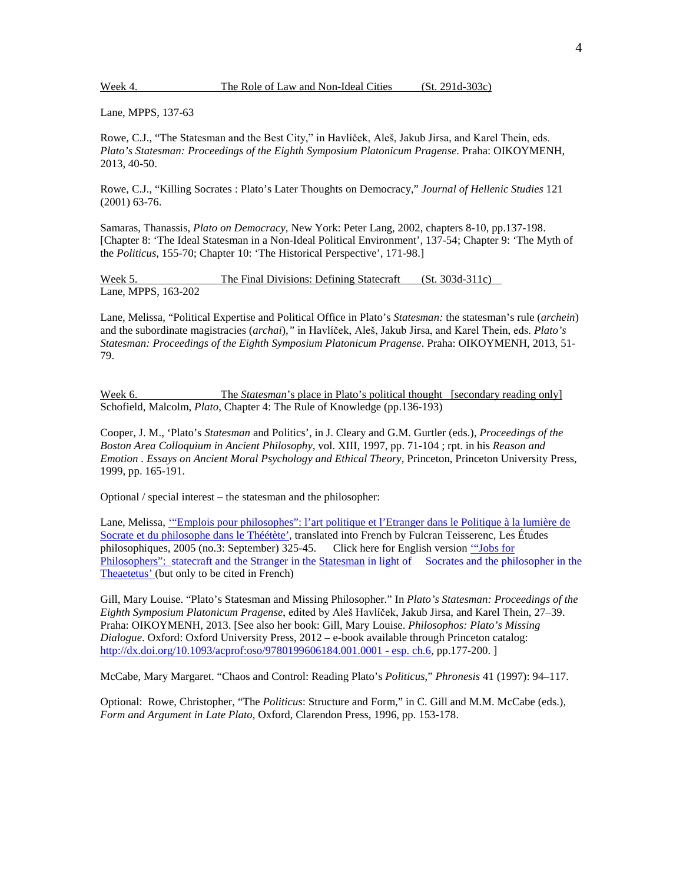Week 4. The Role of Law and Non-Ideal Cities (St. 291d-303c)

Lane, MPPS, 137-63

Rowe, C.J., "The Statesman and the Best City," in Havlíček, Aleš, Jakub Jirsa, and Karel Thein, eds. *Plato's Statesman: Proceedings of the Eighth Symposium Platonicum Pragense*. Praha: OIKOYMENH, 2013, 40-50.

Rowe, C.J., "Killing Socrates : Plato's Later Thoughts on Democracy," *Journal of Hellenic Studies* 121 (2001) 63-76.

Samaras, Thanassis, *Plato on Democracy,* New York: Peter Lang, 2002, chapters 8-10, pp.137-198. [Chapter 8: 'The Ideal Statesman in a Non-Ideal Political Environment', 137-54; Chapter 9: 'The Myth of the *Politicus*, 155-70; Chapter 10: 'The Historical Perspective', 171-98.]

Week 5. The Final Divisions: Defining Statecraft (St. 303d-311c) Lane, MPPS, 163-202

Lane, Melissa, "Political Expertise and Political Office in Plato's *Statesman:* the statesman's rule (*archein*) and the subordinate magistracies (*archai*)*,"* in Havlíček, Aleš, Jakub Jirsa, and Karel Thein, eds. *Plato's Statesman: Proceedings of the Eighth Symposium Platonicum Pragense*. Praha: OIKOYMENH, 2013, 51- 79.

Week 6. The *Statesman*'s place in Plato's political thought [secondary reading only] Schofield, Malcolm, *Plato*, Chapter 4: The Rule of Knowledge (pp.136-193)

Cooper, J. M., 'Plato's *Statesman* and Politics', in J. Cleary and G.M. Gurtler (eds.), *Proceedings of the Boston Area Colloquium in Ancient Philosophy*, vol. XIII, 1997, pp. 71-104 ; rpt. in his *Reason and Emotion . Essays on Ancient Moral Psychology and Ethical Theory*, Princeton, Princeton University Press, 1999, pp. 165-191.

Optional / special interest – the statesman and the philosopher:

Lane, Melissa, "Emplois pour philosophes": l'art politique et l'Etranger dans le Politique à la lumière de [Socrate et du philosophe dans le Théétète',](http://www.princeton.edu/%7Emslane/lane_emplois.pdf) translated into French by Fulcran Teisserenc, Les Études philosophiques, 2005 (no.3: September) 325-45. Click here for English versio[n '"Jobs for](http://www.princeton.edu/%7Emslane/lane_emplois_trans.pdf)  Philosophers": [statecraft and the Stranger in the Statesman](http://www.princeton.edu/%7Emslane/lane_emplois_trans.pdf) in light of Socrates and the philosopher in the Theaetetus' (but only to be cited in French)

Gill, Mary Louise. "Plato's Statesman and Missing Philosopher." In *Plato's Statesman: Proceedings of the Eighth Symposium Platonicum Pragense*, edited by Aleš Havlíček, Jakub Jirsa, and Karel Thein, 27–39. Praha: OIKOYMENH, 2013. [See also her book: Gill, Mary Louise. *Philosophos: Plato's Missing Dialogue*. Oxford: Oxford University Press, 2012 – e-book available through Princeton catalog: [http://dx.doi.org/10.1093/acprof:oso/9780199606184.001.0001 -](http://dx.doi.org/10.1093/acprof:oso/9780199606184.001.0001%20-%20esp.%20ch.6) esp. ch.6, pp.177-200. ]

McCabe, Mary Margaret. "Chaos and Control: Reading Plato's *Politicus*," *Phronesis* 41 (1997): 94–117.

Optional: Rowe, Christopher, "The *Politicus*: Structure and Form," in C. Gill and M.M. McCabe (eds.), *Form and Argument in Late Plato*, Oxford, Clarendon Press, 1996, pp. 153-178.